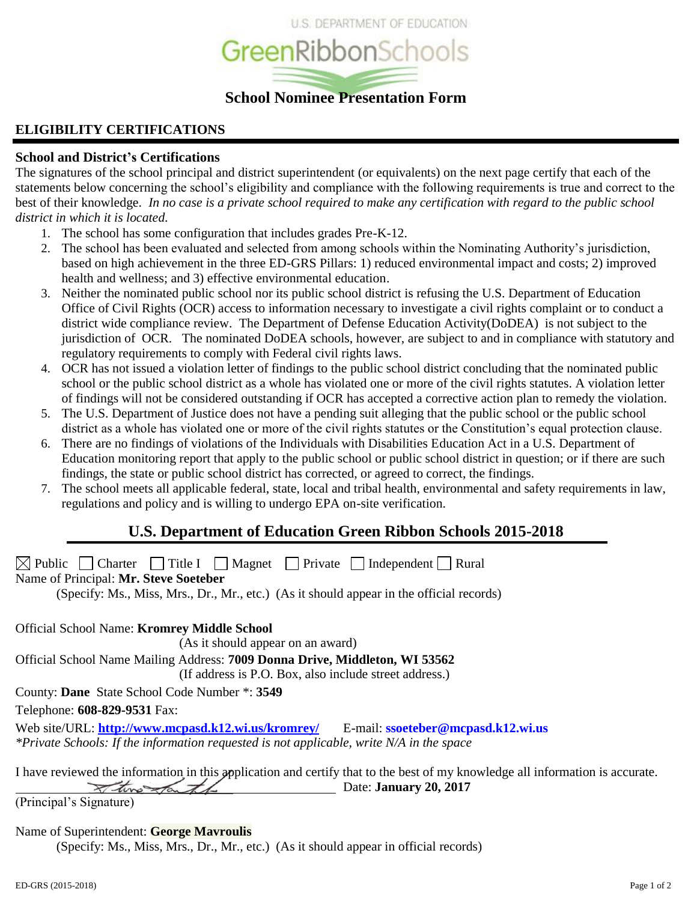

# **ELIGIBILITY CERTIFICATIONS**

# **School and District's Certifications**

The signatures of the school principal and district superintendent (or equivalents) on the next page certify that each of the statements below concerning the school's eligibility and compliance with the following requirements is true and correct to the best of their knowledge. *In no case is a private school required to make any certification with regard to the public school district in which it is located.*

- 1. The school has some configuration that includes grades Pre-K-12.
- 2. The school has been evaluated and selected from among schools within the Nominating Authority's jurisdiction, based on high achievement in the three ED-GRS Pillars: 1) reduced environmental impact and costs; 2) improved health and wellness; and 3) effective environmental education.
- 3. Neither the nominated public school nor its public school district is refusing the U.S. Department of Education Office of Civil Rights (OCR) access to information necessary to investigate a civil rights complaint or to conduct a district wide compliance review. The Department of Defense Education Activity(DoDEA) is not subject to the jurisdiction of OCR. The nominated DoDEA schools, however, are subject to and in compliance with statutory and regulatory requirements to comply with Federal civil rights laws.
- 4. OCR has not issued a violation letter of findings to the public school district concluding that the nominated public school or the public school district as a whole has violated one or more of the civil rights statutes. A violation letter of findings will not be considered outstanding if OCR has accepted a corrective action plan to remedy the violation.
- 5. The U.S. Department of Justice does not have a pending suit alleging that the public school or the public school district as a whole has violated one or more of the civil rights statutes or the Constitution's equal protection clause.
- 6. There are no findings of violations of the Individuals with Disabilities Education Act in a U.S. Department of Education monitoring report that apply to the public school or public school district in question; or if there are such findings, the state or public school district has corrected, or agreed to correct, the findings.
- 7. The school meets all applicable federal, state, local and tribal health, environmental and safety requirements in law, regulations and policy and is willing to undergo EPA on-site verification.

# **U.S. Department of Education Green Ribbon Schools 2015-2018**

 $\boxtimes$  Public  $\Box$  Charter  $\Box$  Title I  $\Box$  Magnet  $\Box$  Private  $\Box$  Independent  $\Box$  Rural Name of Principal: **Mr. Steve Soeteber**

(Specify: Ms., Miss, Mrs., Dr., Mr., etc.) (As it should appear in the official records)

Official School Name: **Kromrey Middle School**

(As it should appear on an award)

Official School Name Mailing Address: **7009 Donna Drive, Middleton, WI 53562**

(If address is P.O. Box, also include street address.)

County: **Dane** State School Code Number \*: **3549**

Telephone: **608-829-9531** Fax:

Web site/URL: **<http://www.mcpasd.k12.wi.us/kromrey/>** E-mail: **ssoeteber@mcpasd.k12.wi.us** *\*Private Schools: If the information requested is not applicable, write N/A in the space*

I have reviewed the information in this application and certify that to the best of my knowledge all information is accurate.  $\overline{\phantom{a}}$  Date: **January 20, 2017** 

(Principal's Signature)

# Name of Superintendent: **George Mavroulis**

(Specify: Ms., Miss, Mrs., Dr., Mr., etc.) (As it should appear in official records)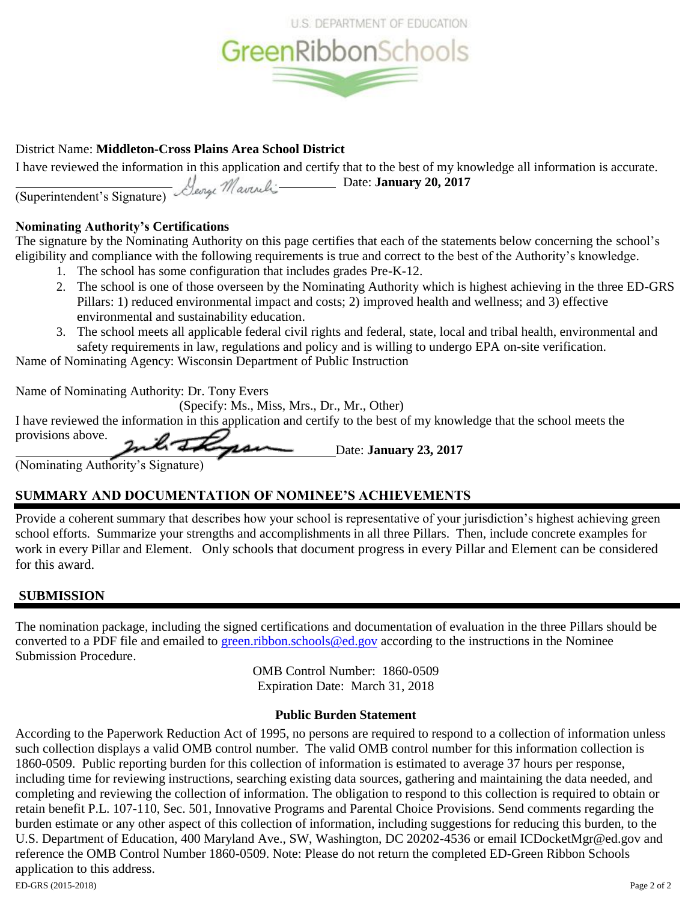

# District Name: **Middleton-Cross Plains Area School District**

I have reviewed the information in this application and certify that to the best of my knowledge all information is accurate. *M* **Date: January 20, 2017** 

(Superintendent's Signature)

# **Nominating Authority's Certifications**

The signature by the Nominating Authority on this page certifies that each of the statements below concerning the school's eligibility and compliance with the following requirements is true and correct to the best of the Authority's knowledge.

- 1. The school has some configuration that includes grades Pre-K-12.
- 2. The school is one of those overseen by the Nominating Authority which is highest achieving in the three ED-GRS Pillars: 1) reduced environmental impact and costs; 2) improved health and wellness; and 3) effective environmental and sustainability education.
- 3. The school meets all applicable federal civil rights and federal, state, local and tribal health, environmental and safety requirements in law, regulations and policy and is willing to undergo EPA on-site verification.

Name of Nominating Agency: Wisconsin Department of Public Instruction

Name of Nominating Authority: Dr. Tony Evers

(Specify: Ms., Miss, Mrs., Dr., Mr., Other)

I have reviewed the information in this application and certify to the best of my knowledge that the school meets the provisions above.

Date: **January 23, 2017**

(Nominating Authority's Signature)

# **SUMMARY AND DOCUMENTATION OF NOMINEE'S ACHIEVEMENTS**

Provide a coherent summary that describes how your school is representative of your jurisdiction's highest achieving green school efforts. Summarize your strengths and accomplishments in all three Pillars. Then, include concrete examples for work in every Pillar and Element. Only schools that document progress in every Pillar and Element can be considered for this award.

# **SUBMISSION**

The nomination package, including the signed certifications and documentation of evaluation in the three Pillars should be converted to a PDF file and emailed to [green.ribbon.schools@ed.gov](mailto:green.ribbon.schools@ed.gov) according to the instructions in the Nominee Submission Procedure.

> OMB Control Number: 1860-0509 Expiration Date: March 31, 2018

# **Public Burden Statement**

ED-GRS (2015-2018) Page 2 of 2 According to the Paperwork Reduction Act of 1995, no persons are required to respond to a collection of information unless such collection displays a valid OMB control number. The valid OMB control number for this information collection is 1860-0509. Public reporting burden for this collection of information is estimated to average 37 hours per response, including time for reviewing instructions, searching existing data sources, gathering and maintaining the data needed, and completing and reviewing the collection of information. The obligation to respond to this collection is required to obtain or retain benefit P.L. 107-110, Sec. 501, Innovative Programs and Parental Choice Provisions. Send comments regarding the burden estimate or any other aspect of this collection of information, including suggestions for reducing this burden, to the U.S. Department of Education, 400 Maryland Ave., SW, Washington, DC 20202-4536 or email ICDocketMgr@ed.gov and reference the OMB Control Number 1860-0509. Note: Please do not return the completed ED-Green Ribbon Schools application to this address.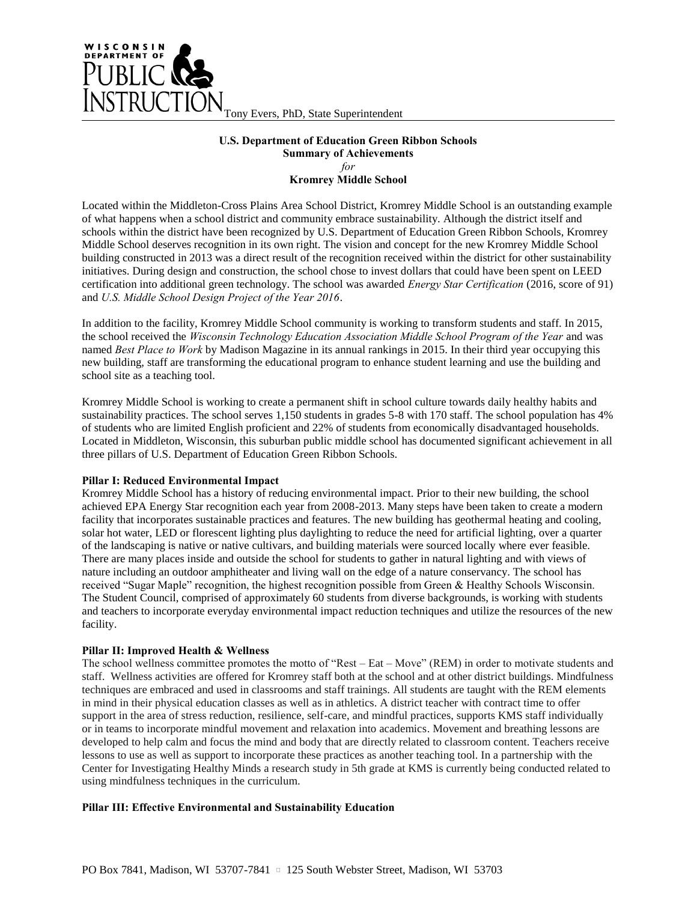

#### **U.S. Department of Education Green Ribbon Schools Summary of Achievements** *for* **Kromrey Middle School**

Located within the Middleton-Cross Plains Area School District, Kromrey Middle School is an outstanding example of what happens when a school district and community embrace sustainability. Although the district itself and schools within the district have been recognized by U.S. Department of Education Green Ribbon Schools, Kromrey Middle School deserves recognition in its own right. The vision and concept for the new Kromrey Middle School building constructed in 2013 was a direct result of the recognition received within the district for other sustainability initiatives. During design and construction, the school chose to invest dollars that could have been spent on LEED certification into additional green technology. The school was awarded *Energy Star Certification* (2016, score of 91) and *U.S. Middle School Design Project of the Year 2016*.

In addition to the facility, Kromrey Middle School community is working to transform students and staff. In 2015, the school received the *Wisconsin Technology Education Association Middle School Program of the Year* and was named *Best Place to Work* by Madison Magazine in its annual rankings in 2015. In their third year occupying this new building, staff are transforming the educational program to enhance student learning and use the building and school site as a teaching tool.

Kromrey Middle School is working to create a permanent shift in school culture towards daily healthy habits and sustainability practices. The school serves 1,150 students in grades 5-8 with 170 staff. The school population has 4% of students who are limited English proficient and 22% of students from economically disadvantaged households. Located in Middleton, Wisconsin, this suburban public middle school has documented significant achievement in all three pillars of U.S. Department of Education Green Ribbon Schools.

#### **Pillar I: Reduced Environmental Impact**

Kromrey Middle School has a history of reducing environmental impact. Prior to their new building, the school achieved EPA Energy Star recognition each year from 2008-2013. Many steps have been taken to create a modern facility that incorporates sustainable practices and features. The new building has geothermal heating and cooling, solar hot water, LED or florescent lighting plus daylighting to reduce the need for artificial lighting, over a quarter of the landscaping is native or native cultivars, and building materials were sourced locally where ever feasible. There are many places inside and outside the school for students to gather in natural lighting and with views of nature including an outdoor amphitheater and living wall on the edge of a nature conservancy. The school has received "Sugar Maple" recognition, the highest recognition possible from Green & Healthy Schools Wisconsin. The Student Council, comprised of approximately 60 students from diverse backgrounds, is working with students and teachers to incorporate everyday environmental impact reduction techniques and utilize the resources of the new facility.

#### **Pillar II: Improved Health & Wellness**

The school wellness committee promotes the motto of "Rest – Eat – Move" (REM) in order to motivate students and staff. Wellness activities are offered for Kromrey staff both at the school and at other district buildings. Mindfulness techniques are embraced and used in classrooms and staff trainings. All students are taught with the REM elements in mind in their physical education classes as well as in athletics. A district teacher with contract time to offer support in the area of stress reduction, resilience, self-care, and mindful practices, supports KMS staff individually or in teams to incorporate mindful movement and relaxation into academics. Movement and breathing lessons are developed to help calm and focus the mind and body that are directly related to classroom content. Teachers receive lessons to use as well as support to incorporate these practices as another teaching tool. In a partnership with the Center for Investigating Healthy Minds a research study in 5th grade at KMS is currently being conducted related to using mindfulness techniques in the curriculum.

#### **Pillar III: Effective Environmental and Sustainability Education**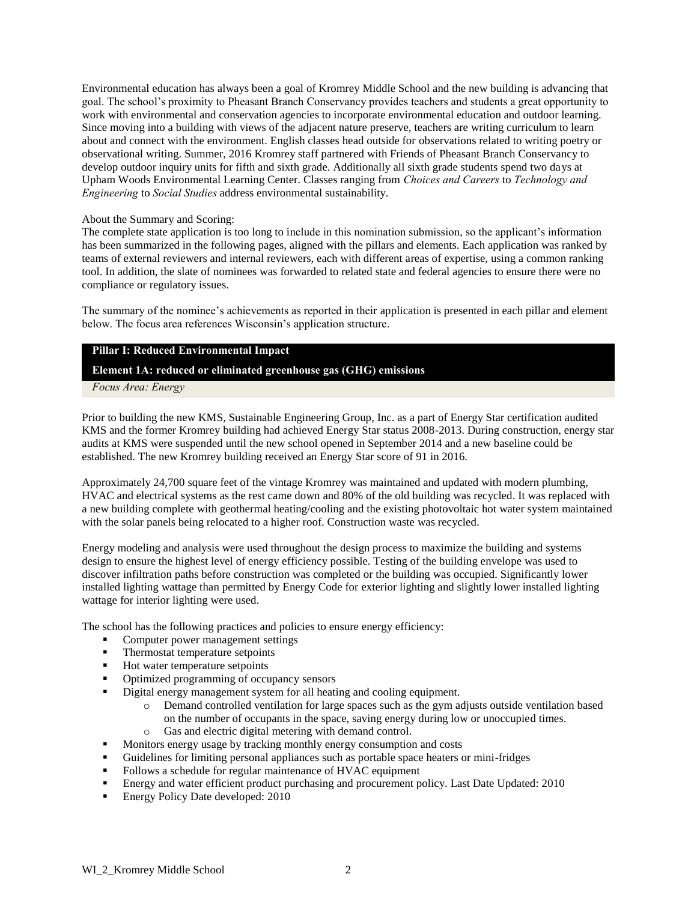Environmental education has always been a goal of Kromrey Middle School and the new building is advancing that goal. The school's proximity to Pheasant Branch Conservancy provides teachers and students a great opportunity to work with environmental and conservation agencies to incorporate environmental education and outdoor learning. Since moving into a building with views of the adjacent nature preserve, teachers are writing curriculum to learn about and connect with the environment. English classes head outside for observations related to writing poetry or observational writing. Summer, 2016 Kromrey staff partnered with Friends of Pheasant Branch Conservancy to develop outdoor inquiry units for fifth and sixth grade. Additionally all sixth grade students spend two days at Upham Woods Environmental Learning Center. Classes ranging from *Choices and Careers* to *Technology and Engineering* to *Social Studies* address environmental sustainability.

#### About the Summary and Scoring:

The complete state application is too long to include in this nomination submission, so the applicant's information has been summarized in the following pages, aligned with the pillars and elements. Each application was ranked by teams of external reviewers and internal reviewers, each with different areas of expertise, using a common ranking tool. In addition, the slate of nominees was forwarded to related state and federal agencies to ensure there were no compliance or regulatory issues.

The summary of the nominee's achievements as reported in their application is presented in each pillar and element below. The focus area references Wisconsin's application structure.

### **Pillar I: Reduced Environmental Impact**

### **Element 1A: reduced or eliminated greenhouse gas (GHG) emissions**

*Focus Area: Energy*

Prior to building the new KMS, Sustainable Engineering Group, Inc. as a part of Energy Star certification audited KMS and the former Kromrey building had achieved Energy Star status 2008-2013. During construction, energy star audits at KMS were suspended until the new school opened in September 2014 and a new baseline could be established. The new Kromrey building received an Energy Star score of 91 in 2016.

Approximately 24,700 square feet of the vintage Kromrey was maintained and updated with modern plumbing, HVAC and electrical systems as the rest came down and 80% of the old building was recycled. It was replaced with a new building complete with geothermal heating/cooling and the existing photovoltaic hot water system maintained with the solar panels being relocated to a higher roof. Construction waste was recycled.

Energy modeling and analysis were used throughout the design process to maximize the building and systems design to ensure the highest level of energy efficiency possible. Testing of the building envelope was used to discover infiltration paths before construction was completed or the building was occupied. Significantly lower installed lighting wattage than permitted by Energy Code for exterior lighting and slightly lower installed lighting wattage for interior lighting were used.

The school has the following practices and policies to ensure energy efficiency:

- Computer power management settings
- **Thermostat temperature setpoints**
- Hot water temperature setpoints
- Optimized programming of occupancy sensors
- Digital energy management system for all heating and cooling equipment.
	- o Demand controlled ventilation for large spaces such as the gym adjusts outside ventilation based on the number of occupants in the space, saving energy during low or unoccupied times.
	- o Gas and electric digital metering with demand control.
- **Monitors energy usage by tracking monthly energy consumption and costs**
- Guidelines for limiting personal appliances such as portable space heaters or mini-fridges
- Follows a schedule for regular maintenance of HVAC equipment
- **Energy and water efficient product purchasing and procurement policy.** Last Date Updated: 2010
- Energy Policy Date developed: 2010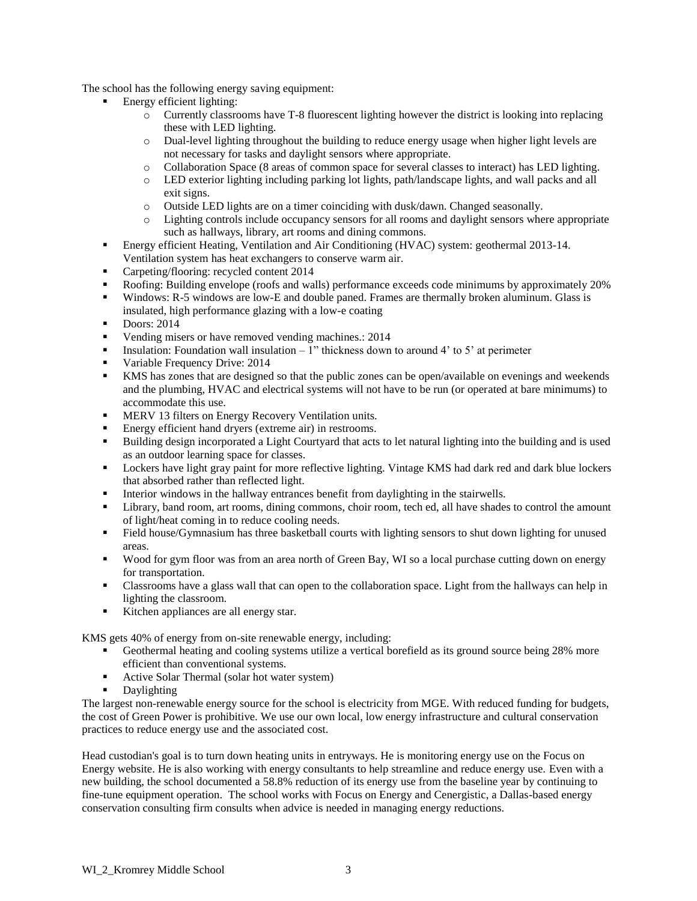The school has the following energy saving equipment:

- Energy efficient lighting:
	- o Currently classrooms have T-8 fluorescent lighting however the district is looking into replacing these with LED lighting.
	- o Dual-level lighting throughout the building to reduce energy usage when higher light levels are not necessary for tasks and daylight sensors where appropriate.
	- o Collaboration Space (8 areas of common space for several classes to interact) has LED lighting.
	- o LED exterior lighting including parking lot lights, path/landscape lights, and wall packs and all exit signs.
	- o Outside LED lights are on a timer coinciding with dusk/dawn. Changed seasonally.
	- o Lighting controls include occupancy sensors for all rooms and daylight sensors where appropriate such as hallways, library, art rooms and dining commons.
- Energy efficient Heating, Ventilation and Air Conditioning (HVAC) system: geothermal 2013-14. Ventilation system has heat exchangers to conserve warm air.
- Carpeting/flooring: recycled content 2014
- Roofing: Building envelope (roofs and walls) performance exceeds code minimums by approximately 20%
- Windows: R-5 windows are low-E and double paned. Frames are thermally broken aluminum. Glass is insulated, high performance glazing with a low-e coating
- $\blacksquare$  Doors: 2014
- Vending misers or have removed vending machines.: 2014
- **Insulation:** Foundation wall insulation 1" thickness down to around 4' to 5' at perimeter
- Variable Frequency Drive: 2014
- KMS has zones that are designed so that the public zones can be open/available on evenings and weekends and the plumbing, HVAC and electrical systems will not have to be run (or operated at bare minimums) to accommodate this use.
- MERV 13 filters on Energy Recovery Ventilation units.
- Energy efficient hand dryers (extreme air) in restrooms.
- Building design incorporated a Light Courtyard that acts to let natural lighting into the building and is used as an outdoor learning space for classes.
- **•** Lockers have light gray paint for more reflective lighting. Vintage KMS had dark red and dark blue lockers that absorbed rather than reflected light.
- Interior windows in the hallway entrances benefit from daylighting in the stairwells.
- Library, band room, art rooms, dining commons, choir room, tech ed, all have shades to control the amount of light/heat coming in to reduce cooling needs.
- Field house/Gymnasium has three basketball courts with lighting sensors to shut down lighting for unused areas.
- Wood for gym floor was from an area north of Green Bay, WI so a local purchase cutting down on energy for transportation.
- Classrooms have a glass wall that can open to the collaboration space. Light from the hallways can help in lighting the classroom.
- Kitchen appliances are all energy star.

KMS gets 40% of energy from on-site renewable energy, including:

- Geothermal heating and cooling systems utilize a vertical borefield as its ground source being 28% more efficient than conventional systems.
- Active Solar Thermal (solar hot water system)
- Daylighting

The largest non-renewable energy source for the school is electricity from MGE. With reduced funding for budgets, the cost of Green Power is prohibitive. We use our own local, low energy infrastructure and cultural conservation practices to reduce energy use and the associated cost.

Head custodian's goal is to turn down heating units in entryways. He is monitoring energy use on the Focus on Energy website. He is also working with energy consultants to help streamline and reduce energy use. Even with a new building, the school documented a 58.8% reduction of its energy use from the baseline year by continuing to fine-tune equipment operation. The school works with Focus on Energy and Cenergistic, a Dallas-based energy conservation consulting firm consults when advice is needed in managing energy reductions.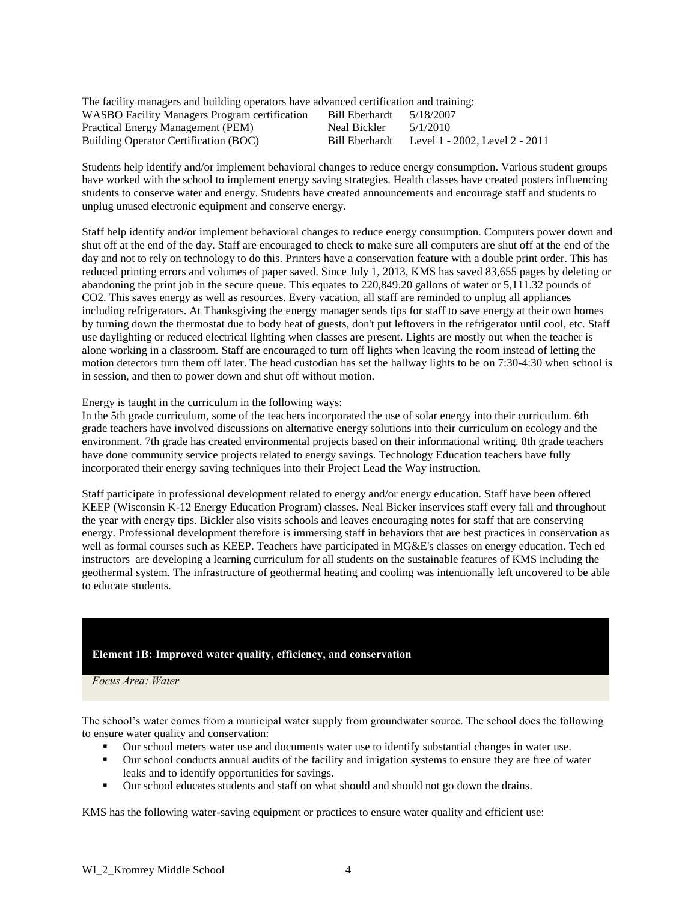| The facility managers and building operators have advanced certification and training: |                |                                |
|----------------------------------------------------------------------------------------|----------------|--------------------------------|
| WASBO Facility Managers Program certification                                          | Bill Eberhardt | 5/18/2007                      |
| Practical Energy Management (PEM)                                                      | Neal Bickler   | 5/1/2010                       |
| Building Operator Certification (BOC)                                                  | Bill Eberhardt | Level 1 - 2002, Level 2 - 2011 |

Students help identify and/or implement behavioral changes to reduce energy consumption. Various student groups have worked with the school to implement energy saving strategies. Health classes have created posters influencing students to conserve water and energy. Students have created announcements and encourage staff and students to unplug unused electronic equipment and conserve energy.

Staff help identify and/or implement behavioral changes to reduce energy consumption. Computers power down and shut off at the end of the day. Staff are encouraged to check to make sure all computers are shut off at the end of the day and not to rely on technology to do this. Printers have a conservation feature with a double print order. This has reduced printing errors and volumes of paper saved. Since July 1, 2013, KMS has saved 83,655 pages by deleting or abandoning the print job in the secure queue. This equates to 220,849.20 gallons of water or 5,111.32 pounds of CO2. This saves energy as well as resources. Every vacation, all staff are reminded to unplug all appliances including refrigerators. At Thanksgiving the energy manager sends tips for staff to save energy at their own homes by turning down the thermostat due to body heat of guests, don't put leftovers in the refrigerator until cool, etc. Staff use daylighting or reduced electrical lighting when classes are present. Lights are mostly out when the teacher is alone working in a classroom. Staff are encouraged to turn off lights when leaving the room instead of letting the motion detectors turn them off later. The head custodian has set the hallway lights to be on 7:30-4:30 when school is in session, and then to power down and shut off without motion.

Energy is taught in the curriculum in the following ways:

In the 5th grade curriculum, some of the teachers incorporated the use of solar energy into their curriculum. 6th grade teachers have involved discussions on alternative energy solutions into their curriculum on ecology and the environment. 7th grade has created environmental projects based on their informational writing. 8th grade teachers have done community service projects related to energy savings. Technology Education teachers have fully incorporated their energy saving techniques into their Project Lead the Way instruction.

Staff participate in professional development related to energy and/or energy education. Staff have been offered KEEP (Wisconsin K-12 Energy Education Program) classes. Neal Bicker inservices staff every fall and throughout the year with energy tips. Bickler also visits schools and leaves encouraging notes for staff that are conserving energy. Professional development therefore is immersing staff in behaviors that are best practices in conservation as well as formal courses such as KEEP. Teachers have participated in MG&E's classes on energy education. Tech ed instructors are developing a learning curriculum for all students on the sustainable features of KMS including the geothermal system. The infrastructure of geothermal heating and cooling was intentionally left uncovered to be able to educate students.

### **Element 1B: Improved water quality, efficiency, and conservation**

*Focus Area: Water*

The school's water comes from a municipal water supply from groundwater source. The school does the following to ensure water quality and conservation:

- Our school meters water use and documents water use to identify substantial changes in water use.
- Our school conducts annual audits of the facility and irrigation systems to ensure they are free of water leaks and to identify opportunities for savings.
- Our school educates students and staff on what should and should not go down the drains.

KMS has the following water-saving equipment or practices to ensure water quality and efficient use: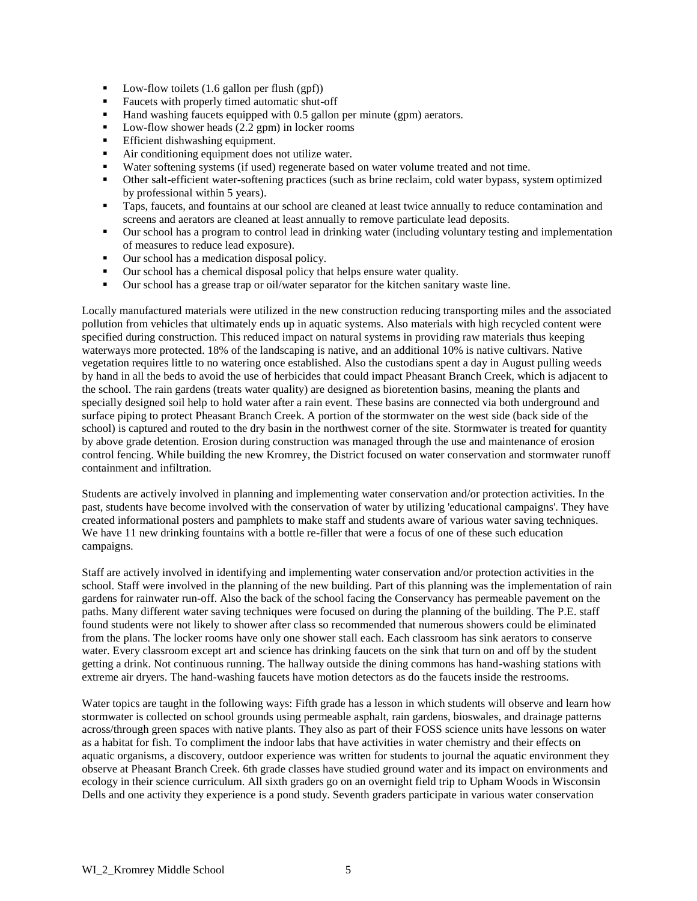- $\blacksquare$  Low-flow toilets (1.6 gallon per flush (gpf))
- Faucets with properly timed automatic shut-off
- Hand washing faucets equipped with 0.5 gallon per minute (gpm) aerators.
- Low-flow shower heads (2.2 gpm) in locker rooms
- **Efficient dishwashing equipment.**
- Air conditioning equipment does not utilize water.
- Water softening systems (if used) regenerate based on water volume treated and not time.
- Other salt-efficient water-softening practices (such as brine reclaim, cold water bypass, system optimized by professional within 5 years).
- **Taps, faucets, and fountains at our school are cleaned at least twice annually to reduce contamination and** screens and aerators are cleaned at least annually to remove particulate lead deposits.
- Our school has a program to control lead in drinking water (including voluntary testing and implementation of measures to reduce lead exposure).
- Our school has a medication disposal policy.
- Our school has a chemical disposal policy that helps ensure water quality.
- Our school has a grease trap or oil/water separator for the kitchen sanitary waste line.

Locally manufactured materials were utilized in the new construction reducing transporting miles and the associated pollution from vehicles that ultimately ends up in aquatic systems. Also materials with high recycled content were specified during construction. This reduced impact on natural systems in providing raw materials thus keeping waterways more protected. 18% of the landscaping is native, and an additional 10% is native cultivars. Native vegetation requires little to no watering once established. Also the custodians spent a day in August pulling weeds by hand in all the beds to avoid the use of herbicides that could impact Pheasant Branch Creek, which is adjacent to the school. The rain gardens (treats water quality) are designed as bioretention basins, meaning the plants and specially designed soil help to hold water after a rain event. These basins are connected via both underground and surface piping to protect Pheasant Branch Creek. A portion of the stormwater on the west side (back side of the school) is captured and routed to the dry basin in the northwest corner of the site. Stormwater is treated for quantity by above grade detention. Erosion during construction was managed through the use and maintenance of erosion control fencing. While building the new Kromrey, the District focused on water conservation and stormwater runoff containment and infiltration.

Students are actively involved in planning and implementing water conservation and/or protection activities. In the past, students have become involved with the conservation of water by utilizing 'educational campaigns'. They have created informational posters and pamphlets to make staff and students aware of various water saving techniques. We have 11 new drinking fountains with a bottle re-filler that were a focus of one of these such education campaigns.

Staff are actively involved in identifying and implementing water conservation and/or protection activities in the school. Staff were involved in the planning of the new building. Part of this planning was the implementation of rain gardens for rainwater run-off. Also the back of the school facing the Conservancy has permeable pavement on the paths. Many different water saving techniques were focused on during the planning of the building. The P.E. staff found students were not likely to shower after class so recommended that numerous showers could be eliminated from the plans. The locker rooms have only one shower stall each. Each classroom has sink aerators to conserve water. Every classroom except art and science has drinking faucets on the sink that turn on and off by the student getting a drink. Not continuous running. The hallway outside the dining commons has hand-washing stations with extreme air dryers. The hand-washing faucets have motion detectors as do the faucets inside the restrooms.

Water topics are taught in the following ways: Fifth grade has a lesson in which students will observe and learn how stormwater is collected on school grounds using permeable asphalt, rain gardens, bioswales, and drainage patterns across/through green spaces with native plants. They also as part of their FOSS science units have lessons on water as a habitat for fish. To compliment the indoor labs that have activities in water chemistry and their effects on aquatic organisms, a discovery, outdoor experience was written for students to journal the aquatic environment they observe at Pheasant Branch Creek. 6th grade classes have studied ground water and its impact on environments and ecology in their science curriculum. All sixth graders go on an overnight field trip to Upham Woods in Wisconsin Dells and one activity they experience is a pond study. Seventh graders participate in various water conservation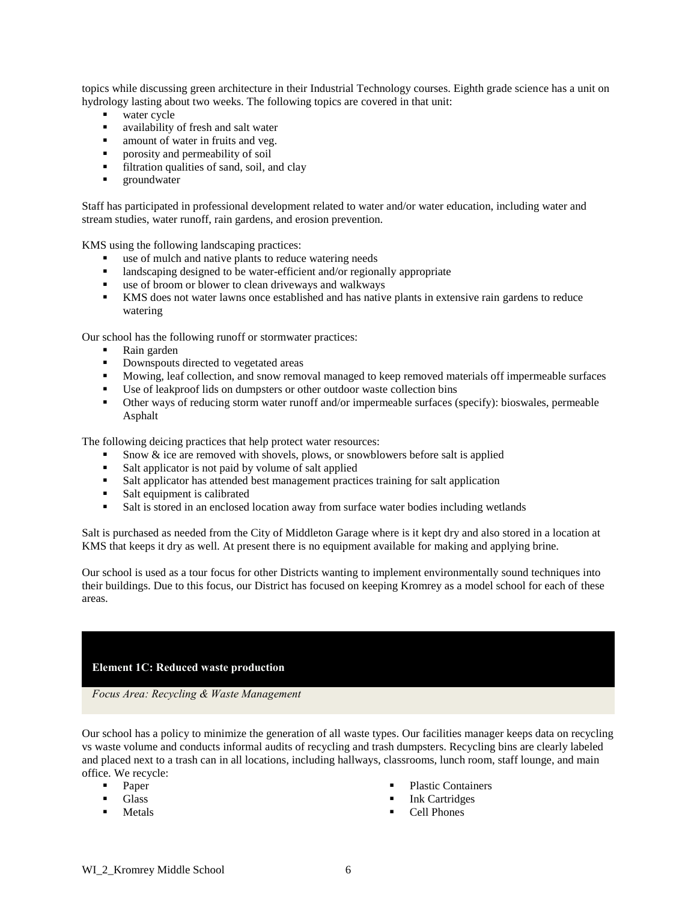topics while discussing green architecture in their Industrial Technology courses. Eighth grade science has a unit on hydrology lasting about two weeks. The following topics are covered in that unit:

- water cycle
- availability of fresh and salt water
- amount of water in fruits and veg.
- **porosity and permeability of soil**
- filtration qualities of sand, soil, and clay
- **groundwater**

Staff has participated in professional development related to water and/or water education, including water and stream studies, water runoff, rain gardens, and erosion prevention.

KMS using the following landscaping practices:

- use of mulch and native plants to reduce watering needs
- **I** landscaping designed to be water-efficient and/or regionally appropriate
- use of broom or blower to clean driveways and walkways
- KMS does not water lawns once established and has native plants in extensive rain gardens to reduce watering

Our school has the following runoff or stormwater practices:

- Rain garden
- Downspouts directed to vegetated areas
- Mowing, leaf collection, and snow removal managed to keep removed materials off impermeable surfaces
- Use of leakproof lids on dumpsters or other outdoor waste collection bins
- Other ways of reducing storm water runoff and/or impermeable surfaces (specify): bioswales, permeable Asphalt

The following deicing practices that help protect water resources:

- Snow  $\&$  ice are removed with shovels, plows, or snowblowers before salt is applied
- Salt applicator is not paid by volume of salt applied
- Salt applicator has attended best management practices training for salt application
- Salt equipment is calibrated
- s Salt is stored in an enclosed location away from surface water bodies including wetlands

Salt is purchased as needed from the City of Middleton Garage where is it kept dry and also stored in a location at KMS that keeps it dry as well. At present there is no equipment available for making and applying brine.

Our school is used as a tour focus for other Districts wanting to implement environmentally sound techniques into their buildings. Due to this focus, our District has focused on keeping Kromrey as a model school for each of these areas.

#### **Element 1C: Reduced waste production**

*Focus Area: Recycling & Waste Management* 

Our school has a policy to minimize the generation of all waste types. Our facilities manager keeps data on recycling vs waste volume and conducts informal audits of recycling and trash dumpsters. Recycling bins are clearly labeled and placed next to a trash can in all locations, including hallways, classrooms, lunch room, staff lounge, and main office. We recycle:

- **Paper**
- **Glass**
- Metals
- Plastic Containers
- **Ink Cartridges**
- Cell Phones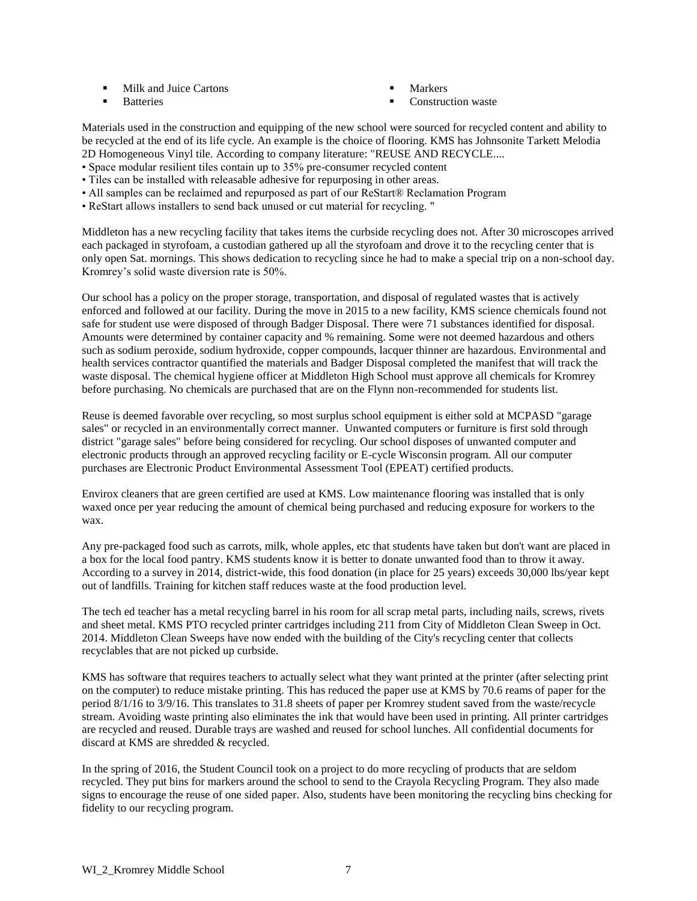- Milk and Juice Cartons
- **Batteries**
- Markers
- Construction waste

Materials used in the construction and equipping of the new school were sourced for recycled content and ability to be recycled at the end of its life cycle. An example is the choice of flooring. KMS has Johnsonite Tarkett Melodia 2D Homogeneous Vinyl tile. According to company literature: "REUSE AND RECYCLE....

- Space modular resilient tiles contain up to 35% pre-consumer recycled content
- Tiles can be installed with releasable adhesive for repurposing in other areas.
- All samples can be reclaimed and repurposed as part of our ReStart® Reclamation Program
- ReStart allows installers to send back unused or cut material for recycling. "

Middleton has a new recycling facility that takes items the curbside recycling does not. After 30 microscopes arrived each packaged in styrofoam, a custodian gathered up all the styrofoam and drove it to the recycling center that is only open Sat. mornings. This shows dedication to recycling since he had to make a special trip on a non-school day. Kromrey's solid waste diversion rate is 50%.

Our school has a policy on the proper storage, transportation, and disposal of regulated wastes that is actively enforced and followed at our facility. During the move in 2015 to a new facility, KMS science chemicals found not safe for student use were disposed of through Badger Disposal. There were 71 substances identified for disposal. Amounts were determined by container capacity and % remaining. Some were not deemed hazardous and others such as sodium peroxide, sodium hydroxide, copper compounds, lacquer thinner are hazardous. Environmental and health services contractor quantified the materials and Badger Disposal completed the manifest that will track the waste disposal. The chemical hygiene officer at Middleton High School must approve all chemicals for Kromrey before purchasing. No chemicals are purchased that are on the Flynn non-recommended for students list.

Reuse is deemed favorable over recycling, so most surplus school equipment is either sold at MCPASD "garage sales" or recycled in an environmentally correct manner. Unwanted computers or furniture is first sold through district "garage sales" before being considered for recycling. Our school disposes of unwanted computer and electronic products through an approved recycling facility or E-cycle Wisconsin program. All our computer purchases are Electronic Product Environmental Assessment Tool (EPEAT) certified products.

Envirox cleaners that are green certified are used at KMS. Low maintenance flooring was installed that is only waxed once per year reducing the amount of chemical being purchased and reducing exposure for workers to the wax.

Any pre-packaged food such as carrots, milk, whole apples, etc that students have taken but don't want are placed in a box for the local food pantry. KMS students know it is better to donate unwanted food than to throw it away. According to a survey in 2014, district-wide, this food donation (in place for 25 years) exceeds 30,000 lbs/year kept out of landfills. Training for kitchen staff reduces waste at the food production level.

The tech ed teacher has a metal recycling barrel in his room for all scrap metal parts, including nails, screws, rivets and sheet metal. KMS PTO recycled printer cartridges including 211 from City of Middleton Clean Sweep in Oct. 2014. Middleton Clean Sweeps have now ended with the building of the City's recycling center that collects recyclables that are not picked up curbside.

KMS has software that requires teachers to actually select what they want printed at the printer (after selecting print on the computer) to reduce mistake printing. This has reduced the paper use at KMS by 70.6 reams of paper for the period 8/1/16 to 3/9/16. This translates to 31.8 sheets of paper per Kromrey student saved from the waste/recycle stream. Avoiding waste printing also eliminates the ink that would have been used in printing. All printer cartridges are recycled and reused. Durable trays are washed and reused for school lunches. All confidential documents for discard at KMS are shredded & recycled.

In the spring of 2016, the Student Council took on a project to do more recycling of products that are seldom recycled. They put bins for markers around the school to send to the Crayola Recycling Program. They also made signs to encourage the reuse of one sided paper. Also, students have been monitoring the recycling bins checking for fidelity to our recycling program.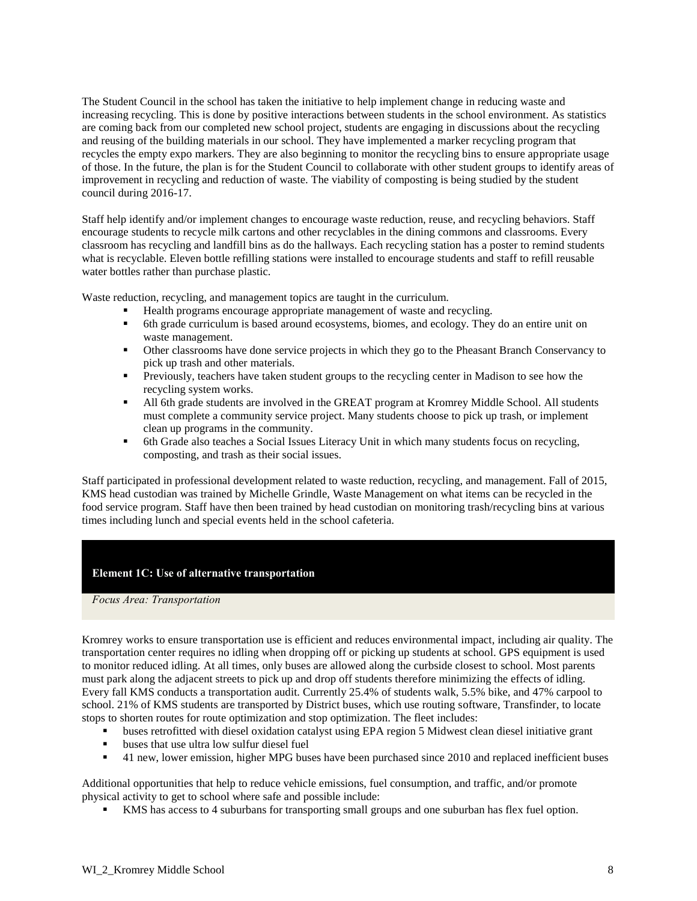The Student Council in the school has taken the initiative to help implement change in reducing waste and increasing recycling. This is done by positive interactions between students in the school environment. As statistics are coming back from our completed new school project, students are engaging in discussions about the recycling and reusing of the building materials in our school. They have implemented a marker recycling program that recycles the empty expo markers. They are also beginning to monitor the recycling bins to ensure appropriate usage of those. In the future, the plan is for the Student Council to collaborate with other student groups to identify areas of improvement in recycling and reduction of waste. The viability of composting is being studied by the student council during 2016-17.

Staff help identify and/or implement changes to encourage waste reduction, reuse, and recycling behaviors. Staff encourage students to recycle milk cartons and other recyclables in the dining commons and classrooms. Every classroom has recycling and landfill bins as do the hallways. Each recycling station has a poster to remind students what is recyclable. Eleven bottle refilling stations were installed to encourage students and staff to refill reusable water bottles rather than purchase plastic.

Waste reduction, recycling, and management topics are taught in the curriculum.

- Health programs encourage appropriate management of waste and recycling.
- 6th grade curriculum is based around ecosystems, biomes, and ecology. They do an entire unit on waste management.
- Other classrooms have done service projects in which they go to the Pheasant Branch Conservancy to pick up trash and other materials.
- **Previously, teachers have taken student groups to the recycling center in Madison to see how the** recycling system works.
- All 6th grade students are involved in the GREAT program at Kromrey Middle School. All students must complete a community service project. Many students choose to pick up trash, or implement clean up programs in the community.
- 6th Grade also teaches a Social Issues Literacy Unit in which many students focus on recycling, composting, and trash as their social issues.

Staff participated in professional development related to waste reduction, recycling, and management. Fall of 2015, KMS head custodian was trained by Michelle Grindle, Waste Management on what items can be recycled in the food service program. Staff have then been trained by head custodian on monitoring trash/recycling bins at various times including lunch and special events held in the school cafeteria.

### **Element 1C: Use of alternative transportation**

*Focus Area: Transportation*

Kromrey works to ensure transportation use is efficient and reduces environmental impact, including air quality. The transportation center requires no idling when dropping off or picking up students at school. GPS equipment is used to monitor reduced idling. At all times, only buses are allowed along the curbside closest to school. Most parents must park along the adjacent streets to pick up and drop off students therefore minimizing the effects of idling. Every fall KMS conducts a transportation audit. Currently 25.4% of students walk, 5.5% bike, and 47% carpool to school. 21% of KMS students are transported by District buses, which use routing software, Transfinder, to locate stops to shorten routes for route optimization and stop optimization. The fleet includes:

- buses retrofitted with diesel oxidation catalyst using EPA region 5 Midwest clean diesel initiative grant
- **buses that use ultra low sulfur diesel fuel**
- <sup>4</sup> 41 new, lower emission, higher MPG buses have been purchased since 2010 and replaced inefficient buses

Additional opportunities that help to reduce vehicle emissions, fuel consumption, and traffic, and/or promote physical activity to get to school where safe and possible include:

KMS has access to 4 suburbans for transporting small groups and one suburban has flex fuel option.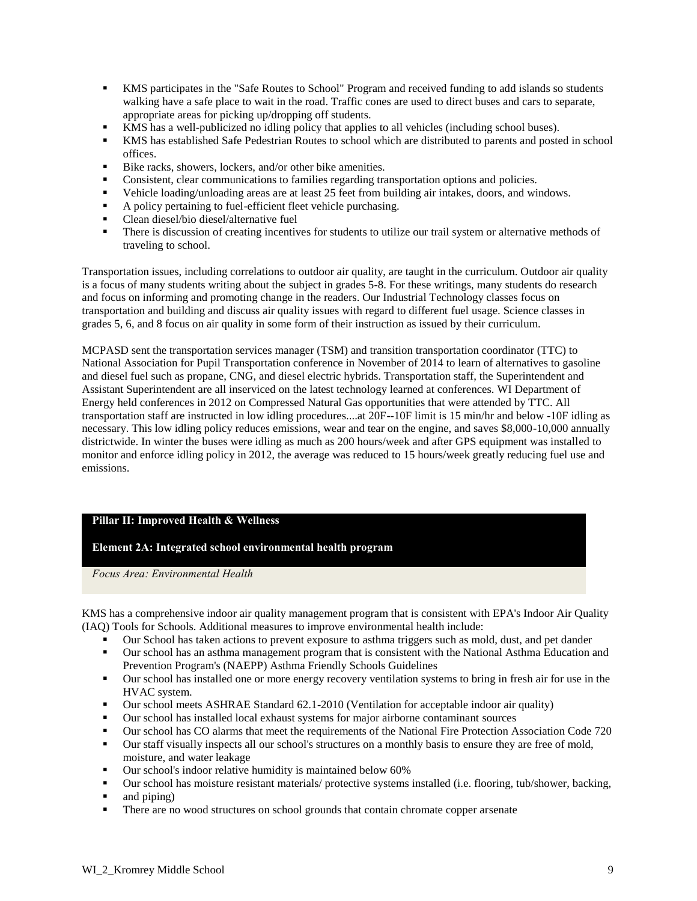- KMS participates in the "Safe Routes to School" Program and received funding to add islands so students walking have a safe place to wait in the road. Traffic cones are used to direct buses and cars to separate, appropriate areas for picking up/dropping off students.
- KMS has a well-publicized no idling policy that applies to all vehicles (including school buses).
- KMS has established Safe Pedestrian Routes to school which are distributed to parents and posted in school offices.
- Bike racks, showers, lockers, and/or other bike amenities.
- Consistent, clear communications to families regarding transportation options and policies.
- Vehicle loading/unloading areas are at least 25 feet from building air intakes, doors, and windows.
- A policy pertaining to fuel-efficient fleet vehicle purchasing.
- Clean diesel/bio diesel/alternative fuel
- There is discussion of creating incentives for students to utilize our trail system or alternative methods of traveling to school.

Transportation issues, including correlations to outdoor air quality, are taught in the curriculum. Outdoor air quality is a focus of many students writing about the subject in grades 5-8. For these writings, many students do research and focus on informing and promoting change in the readers. Our Industrial Technology classes focus on transportation and building and discuss air quality issues with regard to different fuel usage. Science classes in grades 5, 6, and 8 focus on air quality in some form of their instruction as issued by their curriculum.

MCPASD sent the transportation services manager (TSM) and transition transportation coordinator (TTC) to National Association for Pupil Transportation conference in November of 2014 to learn of alternatives to gasoline and diesel fuel such as propane, CNG, and diesel electric hybrids. Transportation staff, the Superintendent and Assistant Superintendent are all inserviced on the latest technology learned at conferences. WI Department of Energy held conferences in 2012 on Compressed Natural Gas opportunities that were attended by TTC. All transportation staff are instructed in low idling procedures....at 20F--10F limit is 15 min/hr and below -10F idling as necessary. This low idling policy reduces emissions, wear and tear on the engine, and saves \$8,000-10,000 annually districtwide. In winter the buses were idling as much as 200 hours/week and after GPS equipment was installed to monitor and enforce idling policy in 2012, the average was reduced to 15 hours/week greatly reducing fuel use and emissions.

### **Pillar II: Improved Health & Wellness**

### **Element 2A: Integrated school environmental health program**

*Focus Area: Environmental Health*

KMS has a comprehensive indoor air quality management program that is consistent with EPA's Indoor Air Quality (IAQ) Tools for Schools. Additional measures to improve environmental health include:

- Our School has taken actions to prevent exposure to asthma triggers such as mold, dust, and pet dander
- Our school has an asthma management program that is consistent with the National Asthma Education and Prevention Program's (NAEPP) Asthma Friendly Schools Guidelines
- Our school has installed one or more energy recovery ventilation systems to bring in fresh air for use in the HVAC system.
- Our school meets ASHRAE Standard 62.1-2010 (Ventilation for acceptable indoor air quality)
- Our school has installed local exhaust systems for major airborne contaminant sources
- Our school has CO alarms that meet the requirements of the National Fire Protection Association Code 720
- Our staff visually inspects all our school's structures on a monthly basis to ensure they are free of mold, moisture, and water leakage
- Our school's indoor relative humidity is maintained below 60%
- Our school has moisture resistant materials/ protective systems installed (i.e. flooring, tub/shower, backing,
- and piping)
- There are no wood structures on school grounds that contain chromate copper arsenate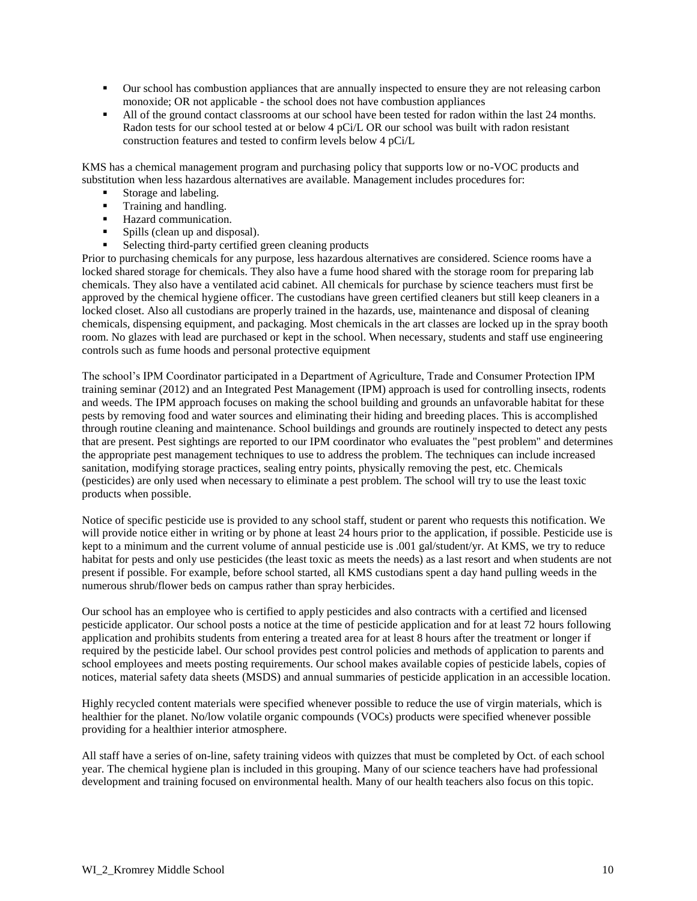- Our school has combustion appliances that are annually inspected to ensure they are not releasing carbon monoxide; OR not applicable - the school does not have combustion appliances
- All of the ground contact classrooms at our school have been tested for radon within the last 24 months. Radon tests for our school tested at or below 4 pCi/L OR our school was built with radon resistant construction features and tested to confirm levels below 4 pCi/L

KMS has a chemical management program and purchasing policy that supports low or no-VOC products and substitution when less hazardous alternatives are available. Management includes procedures for:

- Storage and labeling.
- **Training and handling.**
- Hazard communication.
- Spills (clean up and disposal).
- Selecting third-party certified green cleaning products

Prior to purchasing chemicals for any purpose, less hazardous alternatives are considered. Science rooms have a locked shared storage for chemicals. They also have a fume hood shared with the storage room for preparing lab chemicals. They also have a ventilated acid cabinet. All chemicals for purchase by science teachers must first be approved by the chemical hygiene officer. The custodians have green certified cleaners but still keep cleaners in a locked closet. Also all custodians are properly trained in the hazards, use, maintenance and disposal of cleaning chemicals, dispensing equipment, and packaging. Most chemicals in the art classes are locked up in the spray booth room. No glazes with lead are purchased or kept in the school. When necessary, students and staff use engineering controls such as fume hoods and personal protective equipment

The school's IPM Coordinator participated in a Department of Agriculture, Trade and Consumer Protection IPM training seminar (2012) and an Integrated Pest Management (IPM) approach is used for controlling insects, rodents and weeds. The IPM approach focuses on making the school building and grounds an unfavorable habitat for these pests by removing food and water sources and eliminating their hiding and breeding places. This is accomplished through routine cleaning and maintenance. School buildings and grounds are routinely inspected to detect any pests that are present. Pest sightings are reported to our IPM coordinator who evaluates the "pest problem" and determines the appropriate pest management techniques to use to address the problem. The techniques can include increased sanitation, modifying storage practices, sealing entry points, physically removing the pest, etc. Chemicals (pesticides) are only used when necessary to eliminate a pest problem. The school will try to use the least toxic products when possible.

Notice of specific pesticide use is provided to any school staff, student or parent who requests this notification. We will provide notice either in writing or by phone at least 24 hours prior to the application, if possible. Pesticide use is kept to a minimum and the current volume of annual pesticide use is .001 gal/student/yr. At KMS, we try to reduce habitat for pests and only use pesticides (the least toxic as meets the needs) as a last resort and when students are not present if possible. For example, before school started, all KMS custodians spent a day hand pulling weeds in the numerous shrub/flower beds on campus rather than spray herbicides.

Our school has an employee who is certified to apply pesticides and also contracts with a certified and licensed pesticide applicator. Our school posts a notice at the time of pesticide application and for at least 72 hours following application and prohibits students from entering a treated area for at least 8 hours after the treatment or longer if required by the pesticide label. Our school provides pest control policies and methods of application to parents and school employees and meets posting requirements. Our school makes available copies of pesticide labels, copies of notices, material safety data sheets (MSDS) and annual summaries of pesticide application in an accessible location.

Highly recycled content materials were specified whenever possible to reduce the use of virgin materials, which is healthier for the planet. No/low volatile organic compounds (VOCs) products were specified whenever possible providing for a healthier interior atmosphere.

All staff have a series of on-line, safety training videos with quizzes that must be completed by Oct. of each school year. The chemical hygiene plan is included in this grouping. Many of our science teachers have had professional development and training focused on environmental health. Many of our health teachers also focus on this topic.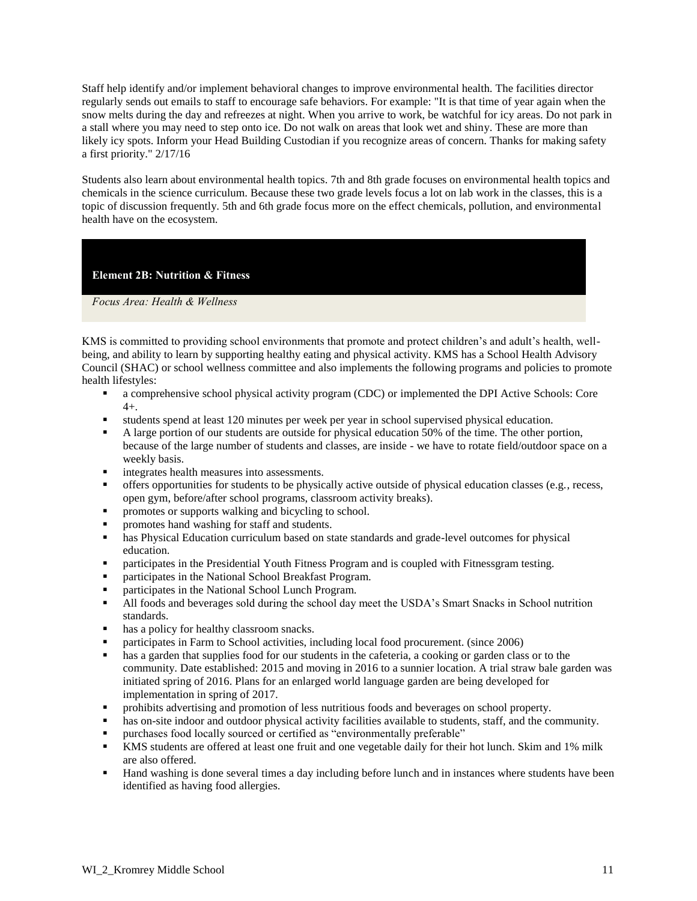Staff help identify and/or implement behavioral changes to improve environmental health. The facilities director regularly sends out emails to staff to encourage safe behaviors. For example: "It is that time of year again when the snow melts during the day and refreezes at night. When you arrive to work, be watchful for icy areas. Do not park in a stall where you may need to step onto ice. Do not walk on areas that look wet and shiny. These are more than likely icy spots. Inform your Head Building Custodian if you recognize areas of concern. Thanks for making safety a first priority." 2/17/16

Students also learn about environmental health topics. 7th and 8th grade focuses on environmental health topics and chemicals in the science curriculum. Because these two grade levels focus a lot on lab work in the classes, this is a topic of discussion frequently. 5th and 6th grade focus more on the effect chemicals, pollution, and environmental health have on the ecosystem.

# **Element 2B: Nutrition & Fitness**

*Focus Area: Health & Wellness*

KMS is committed to providing school environments that promote and protect children's and adult's health, wellbeing, and ability to learn by supporting healthy eating and physical activity. KMS has a School Health Advisory Council (SHAC) or school wellness committee and also implements the following programs and policies to promote health lifestyles:

- a comprehensive school physical activity program (CDC) or implemented the DPI Active Schools: Core 4+.
- students spend at least 120 minutes per week per year in school supervised physical education.
- A large portion of our students are outside for physical education 50% of the time. The other portion, because of the large number of students and classes, are inside - we have to rotate field/outdoor space on a weekly basis.
- integrates health measures into assessments.
- offers opportunities for students to be physically active outside of physical education classes (e.g., recess, open gym, before/after school programs, classroom activity breaks).
- promotes or supports walking and bicycling to school.
- promotes hand washing for staff and students.
- **has Physical Education curriculum based on state standards and grade-level outcomes for physical** education.
- **•** participates in the Presidential Youth Fitness Program and is coupled with Fitnessgram testing.
- participates in the National School Breakfast Program.
- **Participates in the National School Lunch Program.**
- If All foods and beverages sold during the school day meet the USDA's Smart Snacks in School nutrition standards.
- has a policy for healthy classroom snacks.
- participates in Farm to School activities, including local food procurement. (since 2006)
- has a garden that supplies food for our students in the cafeteria, a cooking or garden class or to the community. Date established: 2015 and moving in 2016 to a sunnier location. A trial straw bale garden was initiated spring of 2016. Plans for an enlarged world language garden are being developed for implementation in spring of 2017.
- prohibits advertising and promotion of less nutritious foods and beverages on school property.
- has on-site indoor and outdoor physical activity facilities available to students, staff, and the community.
- purchases food locally sourced or certified as "environmentally preferable"
- KMS students are offered at least one fruit and one vegetable daily for their hot lunch. Skim and 1% milk are also offered.
- Hand washing is done several times a day including before lunch and in instances where students have been identified as having food allergies.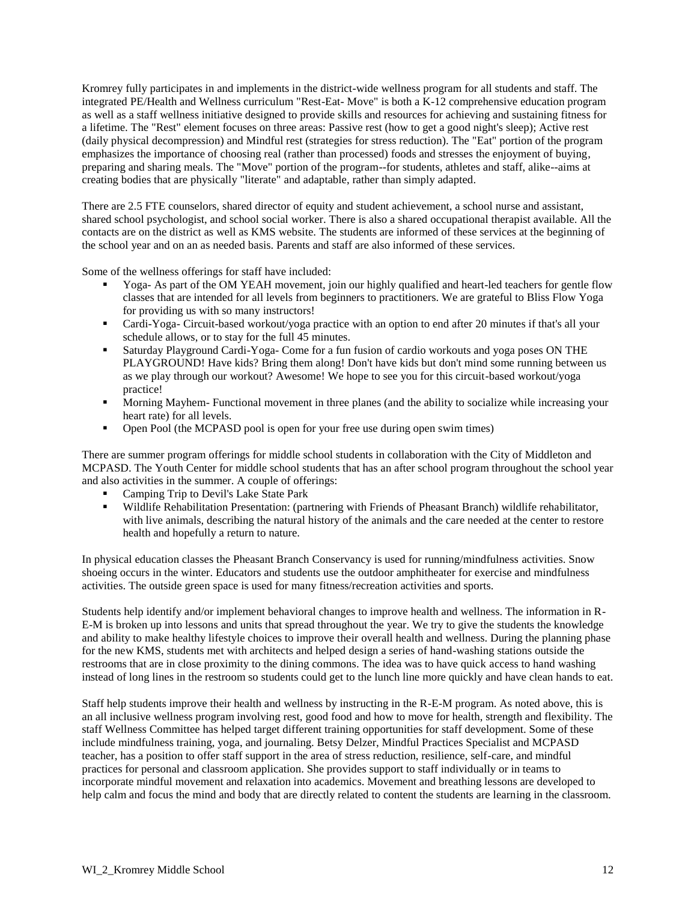Kromrey fully participates in and implements in the district-wide wellness program for all students and staff. The integrated PE/Health and Wellness curriculum "Rest-Eat- Move" is both a K-12 comprehensive education program as well as a staff wellness initiative designed to provide skills and resources for achieving and sustaining fitness for a lifetime. The "Rest" element focuses on three areas: Passive rest (how to get a good night's sleep); Active rest (daily physical decompression) and Mindful rest (strategies for stress reduction). The "Eat" portion of the program emphasizes the importance of choosing real (rather than processed) foods and stresses the enjoyment of buying, preparing and sharing meals. The "Move" portion of the program--for students, athletes and staff, alike--aims at creating bodies that are physically "literate" and adaptable, rather than simply adapted.

There are 2.5 FTE counselors, shared director of equity and student achievement, a school nurse and assistant, shared school psychologist, and school social worker. There is also a shared occupational therapist available. All the contacts are on the district as well as KMS website. The students are informed of these services at the beginning of the school year and on an as needed basis. Parents and staff are also informed of these services.

Some of the wellness offerings for staff have included:

- Yoga- As part of the OM YEAH movement, join our highly qualified and heart-led teachers for gentle flow classes that are intended for all levels from beginners to practitioners. We are grateful to Bliss Flow Yoga for providing us with so many instructors!
- Cardi-Yoga- Circuit-based workout/yoga practice with an option to end after 20 minutes if that's all your schedule allows, or to stay for the full 45 minutes.
- Saturday Playground Cardi-Yoga- Come for a fun fusion of cardio workouts and yoga poses ON THE PLAYGROUND! Have kids? Bring them along! Don't have kids but don't mind some running between us as we play through our workout? Awesome! We hope to see you for this circuit-based workout/yoga practice!
- Morning Mayhem- Functional movement in three planes (and the ability to socialize while increasing your heart rate) for all levels.
- Open Pool (the MCPASD pool is open for your free use during open swim times)

There are summer program offerings for middle school students in collaboration with the City of Middleton and MCPASD. The Youth Center for middle school students that has an after school program throughout the school year and also activities in the summer. A couple of offerings:

- Camping Trip to Devil's Lake State Park
- Wildlife Rehabilitation Presentation: (partnering with Friends of Pheasant Branch) wildlife rehabilitator, with live animals, describing the natural history of the animals and the care needed at the center to restore health and hopefully a return to nature.

In physical education classes the Pheasant Branch Conservancy is used for running/mindfulness activities. Snow shoeing occurs in the winter. Educators and students use the outdoor amphitheater for exercise and mindfulness activities. The outside green space is used for many fitness/recreation activities and sports.

Students help identify and/or implement behavioral changes to improve health and wellness. The information in R-E-M is broken up into lessons and units that spread throughout the year. We try to give the students the knowledge and ability to make healthy lifestyle choices to improve their overall health and wellness. During the planning phase for the new KMS, students met with architects and helped design a series of hand-washing stations outside the restrooms that are in close proximity to the dining commons. The idea was to have quick access to hand washing instead of long lines in the restroom so students could get to the lunch line more quickly and have clean hands to eat.

Staff help students improve their health and wellness by instructing in the R-E-M program. As noted above, this is an all inclusive wellness program involving rest, good food and how to move for health, strength and flexibility. The staff Wellness Committee has helped target different training opportunities for staff development. Some of these include mindfulness training, yoga, and journaling. Betsy Delzer, Mindful Practices Specialist and MCPASD teacher, has a position to offer staff support in the area of stress reduction, resilience, self-care, and mindful practices for personal and classroom application. She provides support to staff individually or in teams to incorporate mindful movement and relaxation into academics. Movement and breathing lessons are developed to help calm and focus the mind and body that are directly related to content the students are learning in the classroom.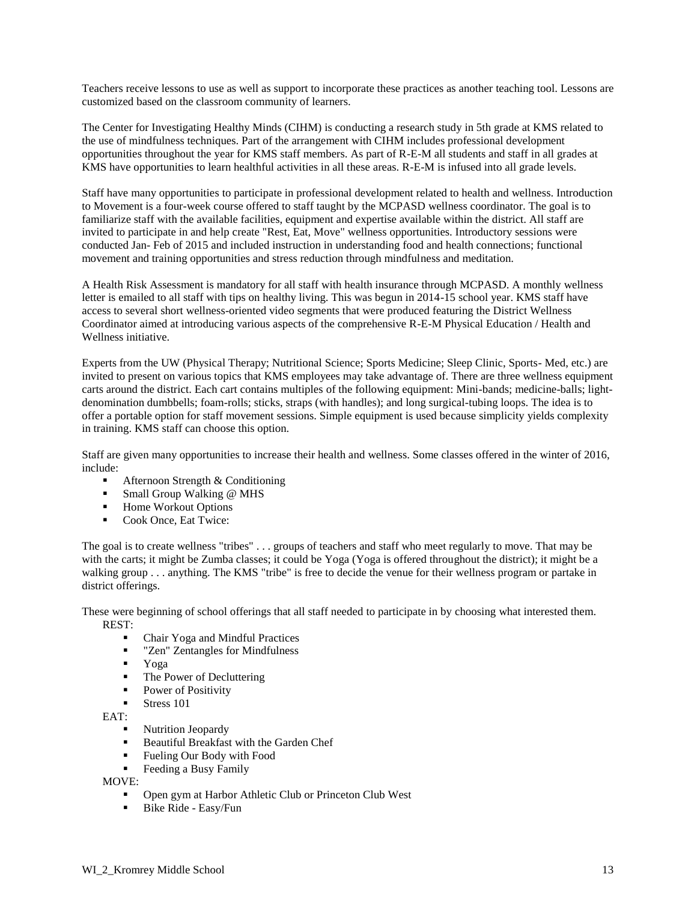Teachers receive lessons to use as well as support to incorporate these practices as another teaching tool. Lessons are customized based on the classroom community of learners.

The Center for Investigating Healthy Minds (CIHM) is conducting a research study in 5th grade at KMS related to the use of mindfulness techniques. Part of the arrangement with CIHM includes professional development opportunities throughout the year for KMS staff members. As part of R-E-M all students and staff in all grades at KMS have opportunities to learn healthful activities in all these areas. R-E-M is infused into all grade levels.

Staff have many opportunities to participate in professional development related to health and wellness. Introduction to Movement is a four-week course offered to staff taught by the MCPASD wellness coordinator. The goal is to familiarize staff with the available facilities, equipment and expertise available within the district. All staff are invited to participate in and help create "Rest, Eat, Move" wellness opportunities. Introductory sessions were conducted Jan- Feb of 2015 and included instruction in understanding food and health connections; functional movement and training opportunities and stress reduction through mindfulness and meditation.

A Health Risk Assessment is mandatory for all staff with health insurance through MCPASD. A monthly wellness letter is emailed to all staff with tips on healthy living. This was begun in 2014-15 school year. KMS staff have access to several short wellness-oriented video segments that were produced featuring the District Wellness Coordinator aimed at introducing various aspects of the comprehensive R-E-M Physical Education / Health and Wellness initiative.

Experts from the UW (Physical Therapy; Nutritional Science; Sports Medicine; Sleep Clinic, Sports- Med, etc.) are invited to present on various topics that KMS employees may take advantage of. There are three wellness equipment carts around the district. Each cart contains multiples of the following equipment: Mini-bands; medicine-balls; lightdenomination dumbbells; foam-rolls; sticks, straps (with handles); and long surgical-tubing loops. The idea is to offer a portable option for staff movement sessions. Simple equipment is used because simplicity yields complexity in training. KMS staff can choose this option.

Staff are given many opportunities to increase their health and wellness. Some classes offered in the winter of 2016, include:

- Afternoon Strength & Conditioning
- Small Group Walking @ MHS
- Home Workout Options
- Cook Once, Eat Twice:

The goal is to create wellness "tribes" . . . groups of teachers and staff who meet regularly to move. That may be with the carts; it might be Zumba classes; it could be Yoga (Yoga is offered throughout the district); it might be a walking group . . . anything. The KMS "tribe" is free to decide the venue for their wellness program or partake in district offerings.

These were beginning of school offerings that all staff needed to participate in by choosing what interested them. REST:

- Chair Yoga and Mindful Practices
- **EXECUTE:** "Zen" Zentangles for Mindfulness
- Yoga
- The Power of Decluttering
- Power of Positivity
- Stress 101

EAT:

- Nutrition Jeopardy
- Beautiful Breakfast with the Garden Chef
- Fueling Our Body with Food
- Feeding a Busy Family

MOVE:

- **Open gym at Harbor Athletic Club or Princeton Club West**
- **Bike Ride Easy/Fun**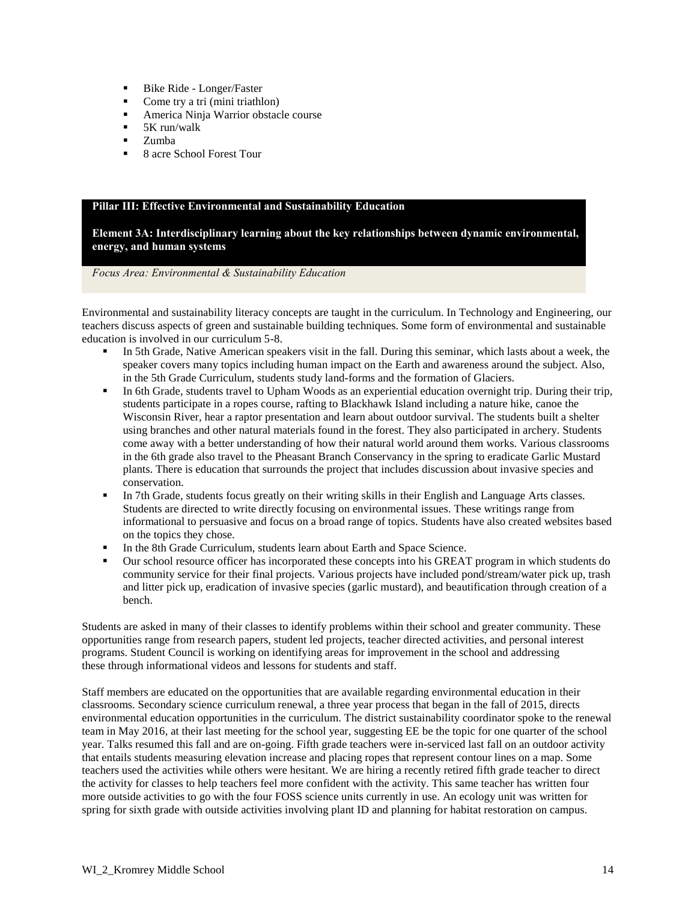- Bike Ride Longer/Faster
- Come try a tri (mini triathlon)
- America Ninja Warrior obstacle course
- $\blacksquare$  5K run/walk
- $\blacksquare$  Zumba
- 8 acre School Forest Tour

#### **Pillar III: Effective Environmental and Sustainability Education**

**Element 3A: Interdisciplinary learning about the key relationships between dynamic environmental, energy, and human systems**

#### *Focus Area: Environmental & Sustainability Education*

Environmental and sustainability literacy concepts are taught in the curriculum. In Technology and Engineering, our teachers discuss aspects of green and sustainable building techniques. Some form of environmental and sustainable education is involved in our curriculum 5-8.

- In 5th Grade, Native American speakers visit in the fall. During this seminar, which lasts about a week, the speaker covers many topics including human impact on the Earth and awareness around the subject. Also, in the 5th Grade Curriculum, students study land-forms and the formation of Glaciers.
- In 6th Grade, students travel to Upham Woods as an experiential education overnight trip. During their trip, students participate in a ropes course, rafting to Blackhawk Island including a nature hike, canoe the Wisconsin River, hear a raptor presentation and learn about outdoor survival. The students built a shelter using branches and other natural materials found in the forest. They also participated in archery. Students come away with a better understanding of how their natural world around them works. Various classrooms in the 6th grade also travel to the Pheasant Branch Conservancy in the spring to eradicate Garlic Mustard plants. There is education that surrounds the project that includes discussion about invasive species and conservation.
- In 7th Grade, students focus greatly on their writing skills in their English and Language Arts classes. Students are directed to write directly focusing on environmental issues. These writings range from informational to persuasive and focus on a broad range of topics. Students have also created websites based on the topics they chose.
- In the 8th Grade Curriculum, students learn about Earth and Space Science.
- Our school resource officer has incorporated these concepts into his GREAT program in which students do community service for their final projects. Various projects have included pond/stream/water pick up, trash and litter pick up, eradication of invasive species (garlic mustard), and beautification through creation of a bench.

Students are asked in many of their classes to identify problems within their school and greater community. These opportunities range from research papers, student led projects, teacher directed activities, and personal interest programs. Student Council is working on identifying areas for improvement in the school and addressing these through informational videos and lessons for students and staff.

Staff members are educated on the opportunities that are available regarding environmental education in their classrooms. Secondary science curriculum renewal, a three year process that began in the fall of 2015, directs environmental education opportunities in the curriculum. The district sustainability coordinator spoke to the renewal team in May 2016, at their last meeting for the school year, suggesting EE be the topic for one quarter of the school year. Talks resumed this fall and are on-going. Fifth grade teachers were in-serviced last fall on an outdoor activity that entails students measuring elevation increase and placing ropes that represent contour lines on a map. Some teachers used the activities while others were hesitant. We are hiring a recently retired fifth grade teacher to direct the activity for classes to help teachers feel more confident with the activity. This same teacher has written four more outside activities to go with the four FOSS science units currently in use. An ecology unit was written for spring for sixth grade with outside activities involving plant ID and planning for habitat restoration on campus.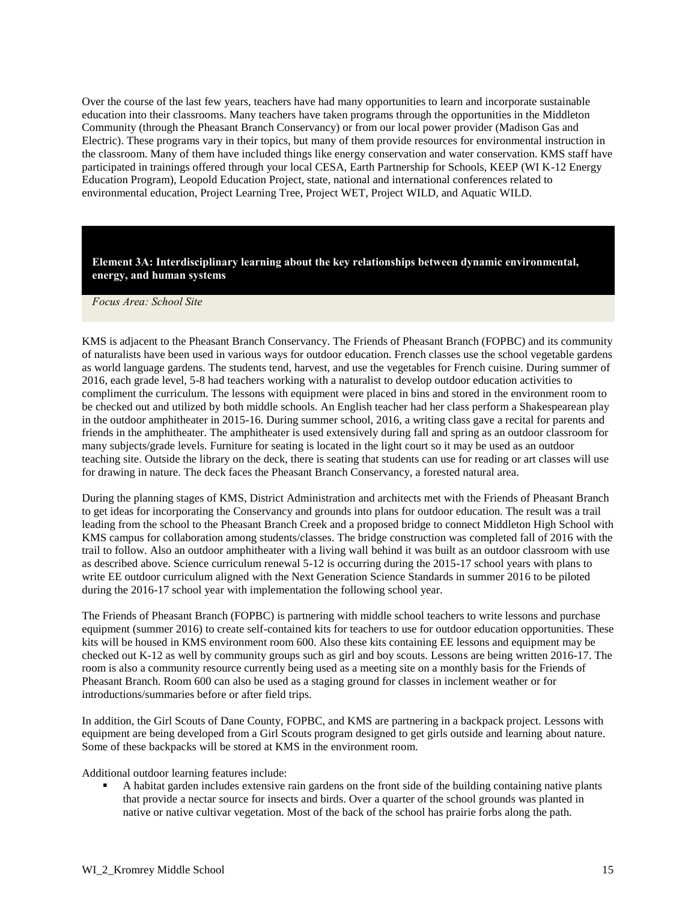Over the course of the last few years, teachers have had many opportunities to learn and incorporate sustainable education into their classrooms. Many teachers have taken programs through the opportunities in the Middleton Community (through the Pheasant Branch Conservancy) or from our local power provider (Madison Gas and Electric). These programs vary in their topics, but many of them provide resources for environmental instruction in the classroom. Many of them have included things like energy conservation and water conservation. KMS staff have participated in trainings offered through your local CESA, Earth Partnership for Schools, KEEP (WI K-12 Energy Education Program), Leopold Education Project, state, national and international conferences related to environmental education, Project Learning Tree, Project WET, Project WILD, and Aquatic WILD.

**Element 3A: Interdisciplinary learning about the key relationships between dynamic environmental, energy, and human systems**

*Focus Area: School Site*

KMS is adjacent to the Pheasant Branch Conservancy. The Friends of Pheasant Branch (FOPBC) and its community of naturalists have been used in various ways for outdoor education. French classes use the school vegetable gardens as world language gardens. The students tend, harvest, and use the vegetables for French cuisine. During summer of 2016, each grade level, 5-8 had teachers working with a naturalist to develop outdoor education activities to compliment the curriculum. The lessons with equipment were placed in bins and stored in the environment room to be checked out and utilized by both middle schools. An English teacher had her class perform a Shakespearean play in the outdoor amphitheater in 2015-16. During summer school, 2016, a writing class gave a recital for parents and friends in the amphitheater. The amphitheater is used extensively during fall and spring as an outdoor classroom for many subjects/grade levels. Furniture for seating is located in the light court so it may be used as an outdoor teaching site. Outside the library on the deck, there is seating that students can use for reading or art classes will use for drawing in nature. The deck faces the Pheasant Branch Conservancy, a forested natural area.

During the planning stages of KMS, District Administration and architects met with the Friends of Pheasant Branch to get ideas for incorporating the Conservancy and grounds into plans for outdoor education. The result was a trail leading from the school to the Pheasant Branch Creek and a proposed bridge to connect Middleton High School with KMS campus for collaboration among students/classes. The bridge construction was completed fall of 2016 with the trail to follow. Also an outdoor amphitheater with a living wall behind it was built as an outdoor classroom with use as described above. Science curriculum renewal 5-12 is occurring during the 2015-17 school years with plans to write EE outdoor curriculum aligned with the Next Generation Science Standards in summer 2016 to be piloted during the 2016-17 school year with implementation the following school year.

The Friends of Pheasant Branch (FOPBC) is partnering with middle school teachers to write lessons and purchase equipment (summer 2016) to create self-contained kits for teachers to use for outdoor education opportunities. These kits will be housed in KMS environment room 600. Also these kits containing EE lessons and equipment may be checked out K-12 as well by community groups such as girl and boy scouts. Lessons are being written 2016-17. The room is also a community resource currently being used as a meeting site on a monthly basis for the Friends of Pheasant Branch. Room 600 can also be used as a staging ground for classes in inclement weather or for introductions/summaries before or after field trips.

In addition, the Girl Scouts of Dane County, FOPBC, and KMS are partnering in a backpack project. Lessons with equipment are being developed from a Girl Scouts program designed to get girls outside and learning about nature. Some of these backpacks will be stored at KMS in the environment room.

Additional outdoor learning features include:

 A habitat garden includes extensive rain gardens on the front side of the building containing native plants that provide a nectar source for insects and birds. Over a quarter of the school grounds was planted in native or native cultivar vegetation. Most of the back of the school has prairie forbs along the path.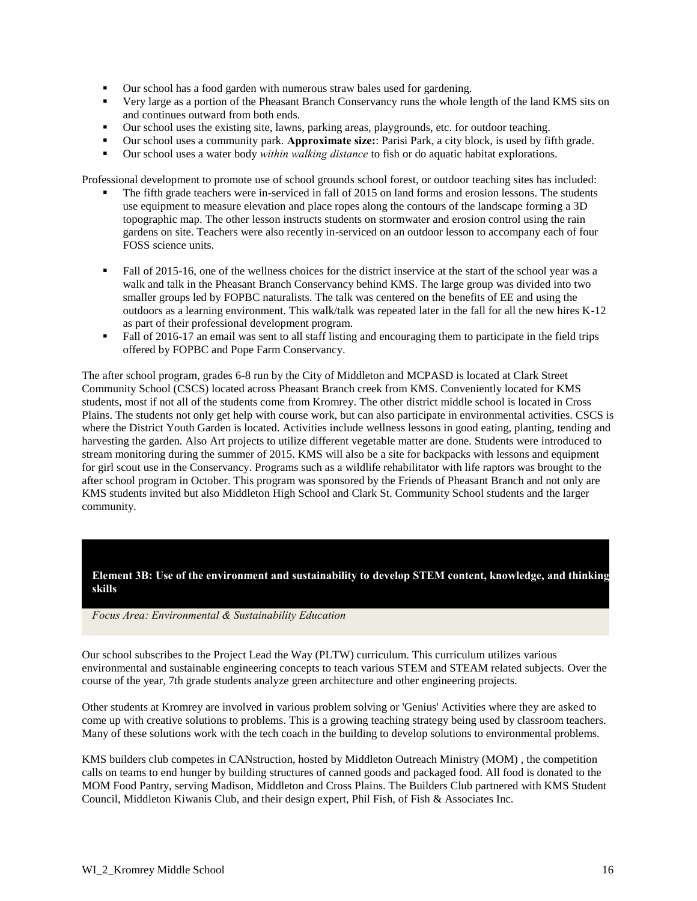- Our school has a food garden with numerous straw bales used for gardening.
- Very large as a portion of the Pheasant Branch Conservancy runs the whole length of the land KMS sits on and continues outward from both ends.
- Our school uses the existing site, lawns, parking areas, playgrounds, etc. for outdoor teaching.
- Our school uses a community park. **Approximate size:**: Parisi Park, a city block, is used by fifth grade.
- Our school uses a water body *within walking distance* to fish or do aquatic habitat explorations.

Professional development to promote use of school grounds school forest, or outdoor teaching sites has included:

- The fifth grade teachers were in-serviced in fall of 2015 on land forms and erosion lessons. The students use equipment to measure elevation and place ropes along the contours of the landscape forming a 3D topographic map. The other lesson instructs students on stormwater and erosion control using the rain gardens on site. Teachers were also recently in-serviced on an outdoor lesson to accompany each of four FOSS science units.
- Fall of 2015-16, one of the wellness choices for the district inservice at the start of the school year was a walk and talk in the Pheasant Branch Conservancy behind KMS. The large group was divided into two smaller groups led by FOPBC naturalists. The talk was centered on the benefits of EE and using the outdoors as a learning environment. This walk/talk was repeated later in the fall for all the new hires K-12 as part of their professional development program.
- Fall of 2016-17 an email was sent to all staff listing and encouraging them to participate in the field trips offered by FOPBC and Pope Farm Conservancy.

The after school program, grades 6-8 run by the City of Middleton and MCPASD is located at Clark Street Community School (CSCS) located across Pheasant Branch creek from KMS. Conveniently located for KMS students, most if not all of the students come from Kromrey. The other district middle school is located in Cross Plains. The students not only get help with course work, but can also participate in environmental activities. CSCS is where the District Youth Garden is located. Activities include wellness lessons in good eating, planting, tending and harvesting the garden. Also Art projects to utilize different vegetable matter are done. Students were introduced to stream monitoring during the summer of 2015. KMS will also be a site for backpacks with lessons and equipment for girl scout use in the Conservancy. Programs such as a wildlife rehabilitator with life raptors was brought to the after school program in October. This program was sponsored by the Friends of Pheasant Branch and not only are KMS students invited but also Middleton High School and Clark St. Community School students and the larger community.

**Element 3B: Use of the environment and sustainability to develop STEM content, knowledge, and thinking skills**

*Focus Area: Environmental & Sustainability Education*

Our school subscribes to the Project Lead the Way (PLTW) curriculum. This curriculum utilizes various environmental and sustainable engineering concepts to teach various STEM and STEAM related subjects. Over the course of the year, 7th grade students analyze green architecture and other engineering projects.

Other students at Kromrey are involved in various problem solving or 'Genius' Activities where they are asked to come up with creative solutions to problems. This is a growing teaching strategy being used by classroom teachers. Many of these solutions work with the tech coach in the building to develop solutions to environmental problems.

KMS builders club competes in CANstruction, hosted by Middleton Outreach Ministry (MOM) , the competition calls on teams to end hunger by building structures of canned goods and packaged food. All food is donated to the MOM Food Pantry, serving Madison, Middleton and Cross Plains. The Builders Club partnered with KMS Student Council, Middleton Kiwanis Club, and their design expert, Phil Fish, of Fish & Associates Inc.